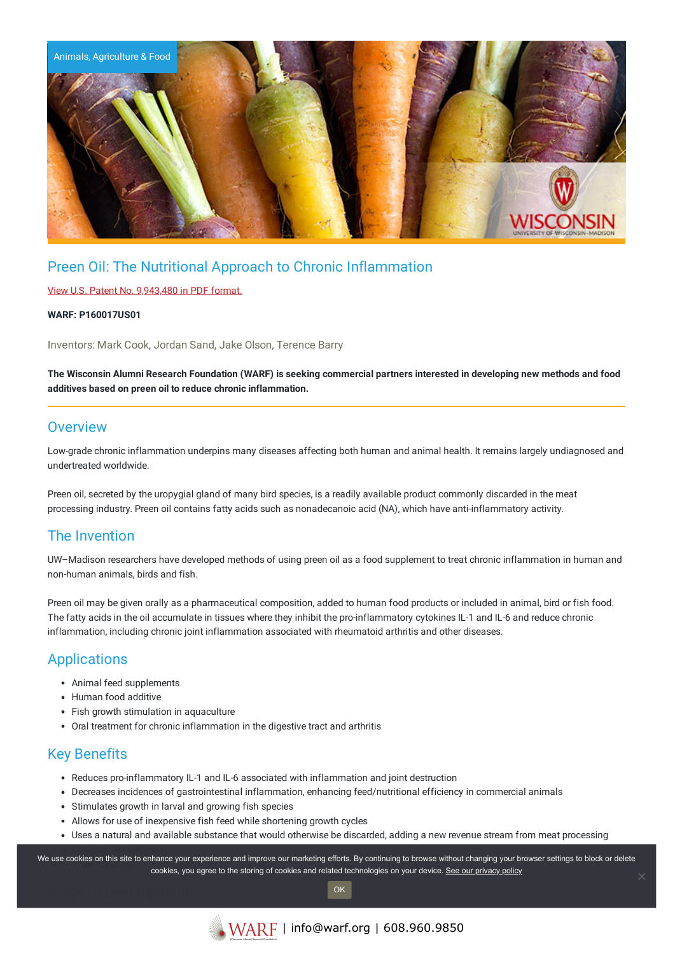

# Preen Oil: The Nutritional Approach to Chronic Inflammation

### View U.S. Patent No. [9,943,480](https://www.warf.org/wp-content/uploads/technologies/ipstatus/P160017US01.pdf) in PDF format.

#### **WARF: P160017US01**

Inventors: Mark Cook, Jordan Sand, Jake Olson, Terence Barry

The Wisconsin Alumni Research Foundation (WARF) is seeking commercial partners interested in developing new methods and food **additives based on preen oil to reduce chronic inflammation.**

### **Overview**

Low-grade chronic inflammation underpins many diseases affecting both human and animal health. It remains largely undiagnosed and undertreated worldwide.

Preen oil, secreted by the uropygial gland of many bird species, is a readily available product commonly discarded in the meat processing industry. Preen oil contains fatty acids such as nonadecanoic acid (NA), which have anti-inflammatory activity.

## The Invention

UW–Madison researchers have developed methods of using preen oil as a food supplement to treat chronic inflammation in human and non-human animals, birds and fish.

Preen oil may be given orally as a pharmaceutical composition, added to human food products or included in animal, bird or fish food. The fatty acids in the oil accumulate in tissues where they inhibit the pro-inflammatory cytokines IL-1 and IL-6 and reduce chronic inflammation, including chronic joint inflammation associated with rheumatoid arthritis and other diseases.

## Applications

- Animal feed supplements
- Human food additive
- Fish growth stimulation in aquaculture
- Oral treatment for chronic inflammation in the digestive tract and arthritis

## Key Benefits

- Reduces pro-inflammatory IL-1 and IL-6 associated with inflammation and joint destruction
- Decreases incidences of gastrointestinal inflammation, enhancing feed/nutritional efficiency in commercial animals
- Stimulates growth in larval and growing fish species
- Allows for use of inexpensive fish feed while shortening growth cycles
- Uses a natural and available substance that would otherwise be discarded, adding a new revenue stream from meat processing

We use cookies on this site to enhance your experience and improve our marketing efforts. By continuing to browse without changing your browser settings to block or delete cookies, you agree to the storing of cookies and related technologies on your device. [See our privacy policy](https://www.warf.org/privacy-policy/)